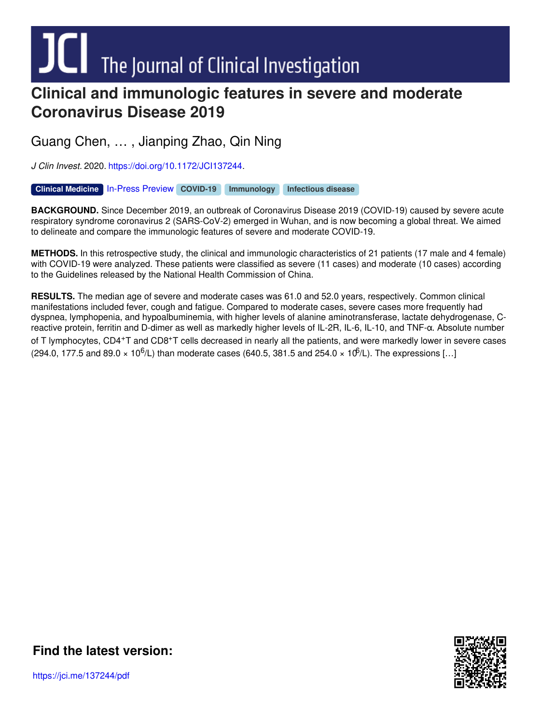# $\blacksquare$  The Journal of Clinical Investigation

# **Clinical and immunologic features in severe and moderate Coronavirus Disease 2019**

Guang Chen, … , Jianping Zhao, Qin Ning

*J Clin Invest.* 2020. <https://doi.org/10.1172/JCI137244>.

[In-Press](http://www.jci.org/tags/113?utm_campaign=cover-page&utm_medium=pdf&utm_source=content) Preview **Clinical [Medicine](http://www.jci.org/tags/3?utm_campaign=cover-page&utm_medium=pdf&utm_source=content) [COVID-19](http://www.jci.org/tags/118?utm_campaign=cover-page&utm_medium=pdf&utm_source=content) [Immunology](http://www.jci.org/tags/25?utm_campaign=cover-page&utm_medium=pdf&utm_source=content) [Infectious](http://www.jci.org/tags/26?utm_campaign=cover-page&utm_medium=pdf&utm_source=content) disease**

**BACKGROUND.** Since December 2019, an outbreak of Coronavirus Disease 2019 (COVID-19) caused by severe acute respiratory syndrome coronavirus 2 (SARS-CoV-2) emerged in Wuhan, and is now becoming a global threat. We aimed to delineate and compare the immunologic features of severe and moderate COVID-19.

**METHODS.** In this retrospective study, the clinical and immunologic characteristics of 21 patients (17 male and 4 female) with COVID-19 were analyzed. These patients were classified as severe (11 cases) and moderate (10 cases) according to the Guidelines released by the National Health Commission of China.

**RESULTS.** The median age of severe and moderate cases was 61.0 and 52.0 years, respectively. Common clinical manifestations included fever, cough and fatigue. Compared to moderate cases, severe cases more frequently had dyspnea, lymphopenia, and hypoalbuminemia, with higher levels of alanine aminotransferase, lactate dehydrogenase, Creactive protein, ferritin and D-dimer as well as markedly higher levels of IL-2R, IL-6, IL-10, and TNF-α. Absolute number of T lymphocytes, CD4+T and CD8+T cells decreased in nearly all the patients, and were markedly lower in severe cases (294.0, 177.5 and 89.0  $\times$  10<sup>6</sup>/L) than moderate cases (640.5, 381.5 and 254.0  $\times$  10<sup>6</sup>/L). The expressions [...]



**Find the [latest](https://jci.me/137244/pdf) version:**

https://jci.me/137244/pdf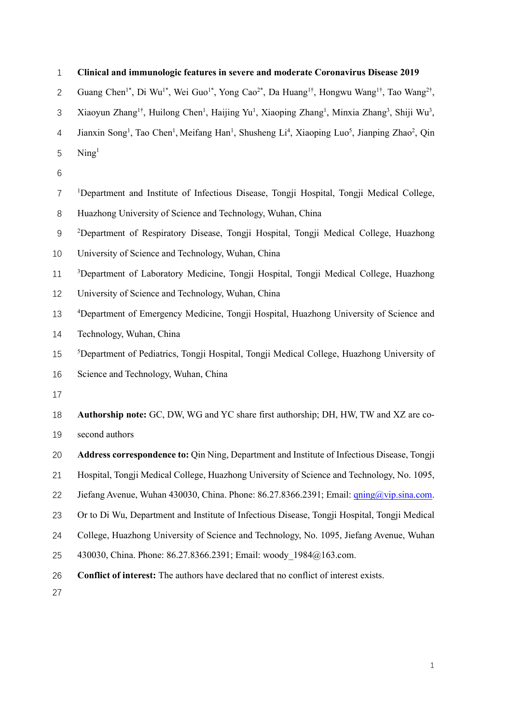| $\mathbf{1}$   | Clinical and immunologic features in severe and moderate Coronavirus Disease 2019                                                                                               |
|----------------|---------------------------------------------------------------------------------------------------------------------------------------------------------------------------------|
| $\overline{2}$ | Guang Chen <sup>1*</sup> , Di Wu <sup>1*</sup> , Wei Guo <sup>1*</sup> , Yong Cao <sup>2*</sup> , Da Huang <sup>1†</sup> , Hongwu Wang <sup>1†</sup> , Tao Wang <sup>2†</sup> , |
| 3              | Xiaoyun Zhang <sup>1†</sup> , Huilong Chen <sup>1</sup> , Haijing Yu <sup>1</sup> , Xiaoping Zhang <sup>1</sup> , Minxia Zhang <sup>3</sup> , Shiji Wu <sup>3</sup> ,           |
| 4              | Jianxin Song <sup>1</sup> , Tao Chen <sup>1</sup> , Meifang Han <sup>1</sup> , Shusheng Li <sup>4</sup> , Xiaoping Luo <sup>5</sup> , Jianping Zhao <sup>2</sup> , Qin          |
| 5              | $\mathrm{Ning}^1$                                                                                                                                                               |
| 6              |                                                                                                                                                                                 |
| 7              | <sup>1</sup> Department and Institute of Infectious Disease, Tongji Hospital, Tongji Medical College,                                                                           |
| 8              | Huazhong University of Science and Technology, Wuhan, China                                                                                                                     |
| $9\,$          | <sup>2</sup> Department of Respiratory Disease, Tongji Hospital, Tongji Medical College, Huazhong                                                                               |
| 10             | University of Science and Technology, Wuhan, China                                                                                                                              |
| 11             | <sup>3</sup> Department of Laboratory Medicine, Tongji Hospital, Tongji Medical College, Huazhong                                                                               |
| 12             | University of Science and Technology, Wuhan, China                                                                                                                              |
| 13             | <sup>4</sup> Department of Emergency Medicine, Tongji Hospital, Huazhong University of Science and                                                                              |
| 14             | Technology, Wuhan, China                                                                                                                                                        |
| 15             | <sup>5</sup> Department of Pediatrics, Tongji Hospital, Tongji Medical College, Huazhong University of                                                                          |
| 16             | Science and Technology, Wuhan, China                                                                                                                                            |
| 17             |                                                                                                                                                                                 |
| 18             | Authorship note: GC, DW, WG and YC share first authorship; DH, HW, TW and XZ are co-                                                                                            |
| 19             | second authors                                                                                                                                                                  |
| 20             | Address correspondence to: Qin Ning, Department and Institute of Infectious Disease, Tongji                                                                                     |
| 21             | Hospital, Tongji Medical College, Huazhong University of Science and Technology, No. 1095,                                                                                      |
| 22             | Jiefang Avenue, Wuhan 430030, China. Phone: 86.27.8366.2391; Email: qning@vip.sina.com.                                                                                         |
| 23             | Or to Di Wu, Department and Institute of Infectious Disease, Tongji Hospital, Tongji Medical                                                                                    |
| 24             | College, Huazhong University of Science and Technology, No. 1095, Jiefang Avenue, Wuhan                                                                                         |
| 25             | 430030, China. Phone: 86.27.8366.2391; Email: woody 1984@163.com.                                                                                                               |
| 26<br>27       | Conflict of interest: The authors have declared that no conflict of interest exists.                                                                                            |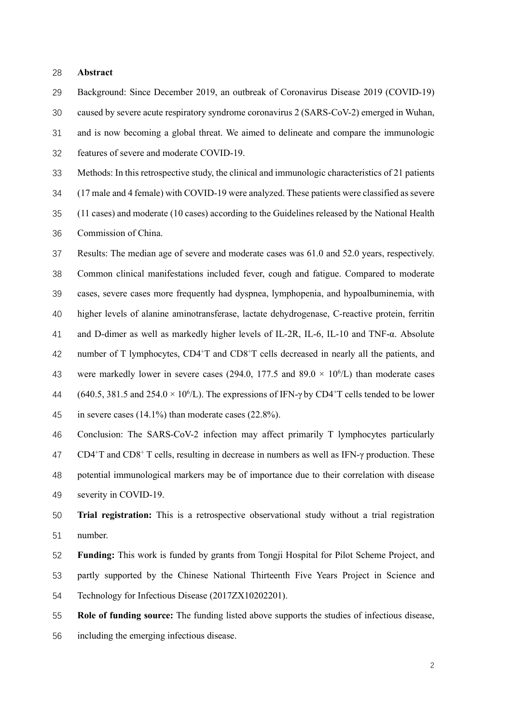#### Abstract

Background: Since December 2019, an outbreak of Coronavirus Disease 2019 (COVID-19) caused by severe acute respiratory syndrome coronavirus 2 (SARS-CoV-2) emerged in Wuhan, and is now becoming a global threat. We aimed to delineate and compare the immunologic features of severe and moderate COVID-19.

Methods: In this retrospective study, the clinical and immunologic characteristics of 21 patients

(17 male and 4 female) with COVID-19 were analyzed. These patients were classified as severe

(11 cases) and moderate (10 cases) according to the Guidelines released by the National Health Commission of China.

Results: The median age of severe and moderate cases was 61.0 and 52.0 years, respectively. Common clinical manifestations included fever, cough and fatigue. Compared to moderate cases, severe cases more frequently had dyspnea, lymphopenia, and hypoalbuminemia, with higher levels of alanine aminotransferase, lactate dehydrogenase, C-reactive protein, ferritin and D-dimer as well as markedly higher levels of IL-2R, IL-6, IL-10 and TNF-α. Absolute 42 number of T lymphocytes,  $CD4+T$  and  $CD8+T$  cells decreased in nearly all the patients, and 43 were markedly lower in severe cases (294.0, 177.5 and  $89.0 \times 10^{6}/L$ ) than moderate cases 44 (640.5, 381.5 and 254.0  $\times$  10<sup>6</sup>/L). The expressions of IFN- $\gamma$  by CD4<sup>+</sup>T cells tended to be lower in severe cases (14.1%) than moderate cases (22.8%).

Conclusion: The SARS-CoV-2 infection may affect primarily T lymphocytes particularly 47 CD4<sup>+</sup>T and CD8<sup>+</sup> T cells, resulting in decrease in numbers as well as IFN- $\gamma$  production. These potential immunological markers may be of importance due to their correlation with disease severity in COVID-19.

Trial registration: This is a retrospective observational study without a trial registration number.

Funding: This work is funded by grants from Tongji Hospital for Pilot Scheme Project, and partly supported by the Chinese National Thirteenth Five Years Project in Science and Technology for Infectious Disease (2017ZX10202201).

Role of funding source: The funding listed above supports the studies of infectious disease, including the emerging infectious disease.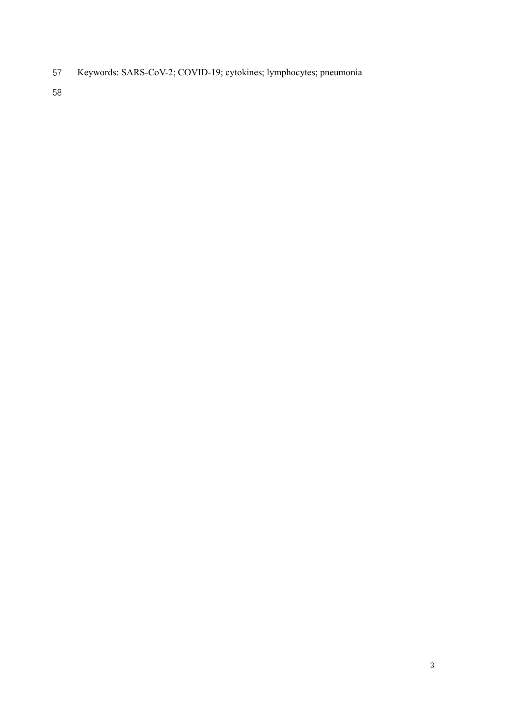Keywords: SARS-CoV-2; COVID-19; cytokines; lymphocytes; pneumonia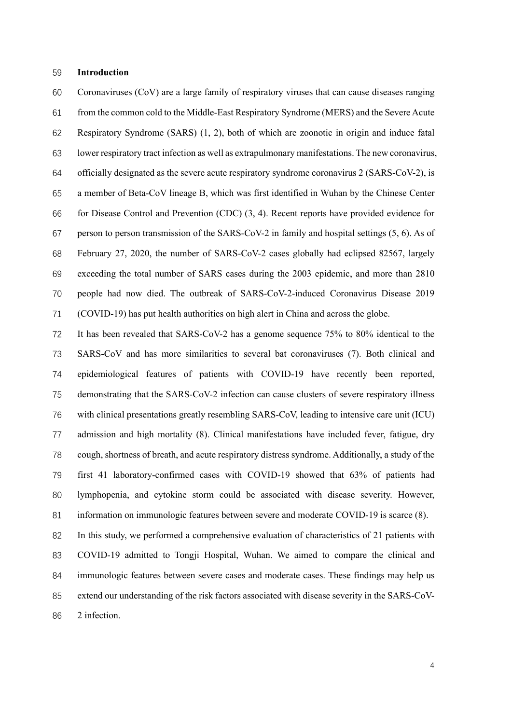#### Introduction

Coronaviruses (CoV) are a large family of respiratory viruses that can cause diseases ranging from the common cold to the Middle-East Respiratory Syndrome (MERS) and the Severe Acute Respiratory Syndrome (SARS) (1, 2), both of which are zoonotic in origin and induce fatal lower respiratory tract infection as well as extrapulmonary manifestations. The new coronavirus, officially designated as the severe acute respiratory syndrome coronavirus 2 (SARS-CoV-2), is a member of Beta-CoV lineage B, which was first identified in Wuhan by the Chinese Center for Disease Control and Prevention (CDC) (3, 4). Recent reports have provided evidence for person to person transmission of the SARS-CoV-2 in family and hospital settings (5, 6). As of February 27, 2020, the number of SARS-CoV-2 cases globally had eclipsed 82567, largely exceeding the total number of SARS cases during the 2003 epidemic, and more than 2810 people had now died. The outbreak of SARS-CoV-2-induced Coronavirus Disease 2019 (COVID-19) has put health authorities on high alert in China and across the globe.

It has been revealed that SARS-CoV-2 has a genome sequence 75% to 80% identical to the SARS-CoV and has more similarities to several bat coronaviruses (7). Both clinical and epidemiological features of patients with COVID-19 have recently been reported, demonstrating that the SARS-CoV-2 infection can cause clusters of severe respiratory illness with clinical presentations greatly resembling SARS-CoV, leading to intensive care unit (ICU) admission and high mortality (8). Clinical manifestations have included fever, fatigue, dry cough, shortness of breath, and acute respiratory distress syndrome. Additionally, a study of the first 41 laboratory-confirmed cases with COVID-19 showed that 63% of patients had lymphopenia, and cytokine storm could be associated with disease severity. However, information on immunologic features between severe and moderate COVID-19 is scarce (8).

In this study, we performed a comprehensive evaluation of characteristics of 21 patients with COVID-19 admitted to Tongji Hospital, Wuhan. We aimed to compare the clinical and immunologic features between severe cases and moderate cases. These findings may help us extend our understanding of the risk factors associated with disease severity in the SARS-CoV-2 infection.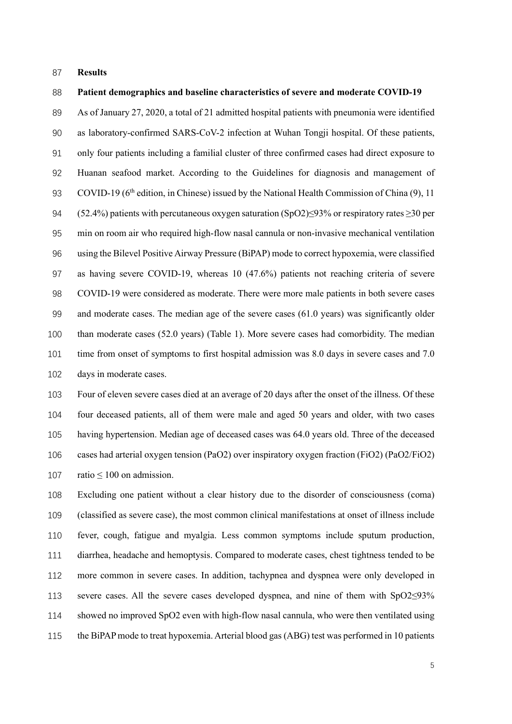#### Results

#### Patient demographics and baseline characteristics of severe and moderate COVID-19

As of January 27, 2020, a total of 21 admitted hospital patients with pneumonia were identified as laboratory-confirmed SARS-CoV-2 infection at Wuhan Tongji hospital. Of these patients, only four patients including a familial cluster of three confirmed cases had direct exposure to Huanan seafood market. According to the Guidelines for diagnosis and management of 93 COVID-19 (6<sup>th</sup> edition, in Chinese) issued by the National Health Commission of China (9), 11 (52.4%) patients with percutaneous oxygen saturation (SpO2)≤93% or respiratory rates ≥30 per min on room air who required high-flow nasal cannula or non-invasive mechanical ventilation using the Bilevel Positive Airway Pressure (BiPAP) mode to correct hypoxemia, were classified as having severe COVID-19, whereas 10 (47.6%) patients not reaching criteria of severe COVID-19 were considered as moderate. There were more male patients in both severe cases and moderate cases. The median age of the severe cases (61.0 years) was significantly older than moderate cases (52.0 years) (Table 1). More severe cases had comorbidity. The median time from onset of symptoms to first hospital admission was 8.0 days in severe cases and 7.0 days in moderate cases.

Four of eleven severe cases died at an average of 20 days after the onset of the illness. Of these four deceased patients, all of them were male and aged 50 years and older, with two cases having hypertension. Median age of deceased cases was 64.0 years old. Three of the deceased cases had arterial oxygen tension (PaO2) over inspiratory oxygen fraction (FiO2) (PaO2/FiO2) 107 ratio  $\leq 100$  on admission.

Excluding one patient without a clear history due to the disorder of consciousness (coma) (classified as severe case), the most common clinical manifestations at onset of illness include fever, cough, fatigue and myalgia. Less common symptoms include sputum production, diarrhea, headache and hemoptysis. Compared to moderate cases, chest tightness tended to be more common in severe cases. In addition, tachypnea and dyspnea were only developed in severe cases. All the severe cases developed dyspnea, and nine of them with SpO2≤93% showed no improved SpO2 even with high-flow nasal cannula, who were then ventilated using the BiPAP mode to treat hypoxemia. Arterial blood gas (ABG) test was performed in 10 patients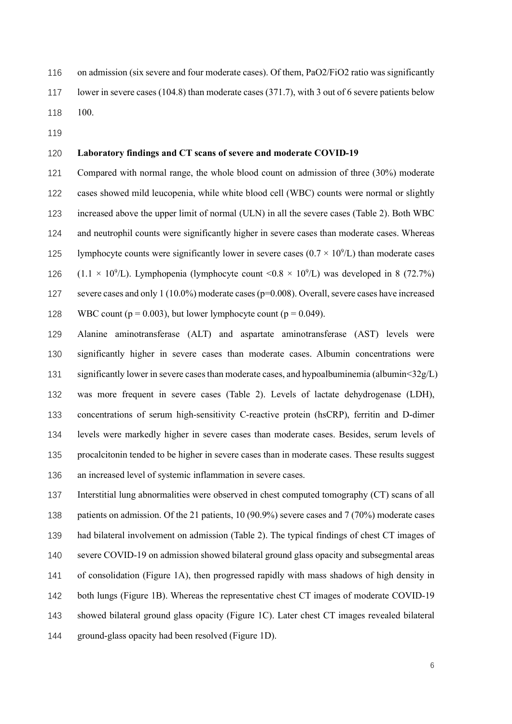on admission (six severe and four moderate cases). Of them, PaO2/FiO2 ratio was significantly

- lower in severe cases (104.8) than moderate cases (371.7), with 3 out of 6 severe patients below 100.
- 

#### Laboratory findings and CT scans of severe and moderate COVID-19

Compared with normal range, the whole blood count on admission of three (30%) moderate cases showed mild leucopenia, while white blood cell (WBC) counts were normal or slightly increased above the upper limit of normal (ULN) in all the severe cases (Table 2). Both WBC and neutrophil counts were significantly higher in severe cases than moderate cases. Whereas 125 lymphocyte counts were significantly lower in severe cases  $(0.7 \times 10^9 L)$  than moderate cases 126 (1.1  $\times$  10<sup>9</sup>/L). Lymphopenia (lymphocyte count <0.8  $\times$  10<sup>9</sup>/L) was developed in 8 (72.7%) severe cases and only 1 (10.0%) moderate cases (p=0.008). Overall, severe cases have increased 128 WBC count ( $p = 0.003$ ), but lower lymphocyte count ( $p = 0.049$ ).

Alanine aminotransferase (ALT) and aspartate aminotransferase (AST) levels were significantly higher in severe cases than moderate cases. Albumin concentrations were significantly lower in severe cases than moderate cases, and hypoalbuminemia (albumin<32g/L) was more frequent in severe cases (Table 2). Levels of lactate dehydrogenase (LDH), concentrations of serum high-sensitivity C-reactive protein (hsCRP), ferritin and D-dimer levels were markedly higher in severe cases than moderate cases. Besides, serum levels of procalcitonin tended to be higher in severe cases than in moderate cases. These results suggest an increased level of systemic inflammation in severe cases.

Interstitial lung abnormalities were observed in chest computed tomography (CT) scans of all 138 patients on admission. Of the 21 patients, 10 (90.9%) severe cases and 7 (70%) moderate cases had bilateral involvement on admission (Table 2). The typical findings of chest CT images of severe COVID-19 on admission showed bilateral ground glass opacity and subsegmental areas of consolidation (Figure 1A), then progressed rapidly with mass shadows of high density in both lungs (Figure 1B). Whereas the representative chest CT images of moderate COVID-19 showed bilateral ground glass opacity (Figure 1C). Later chest CT images revealed bilateral ground-glass opacity had been resolved (Figure 1D).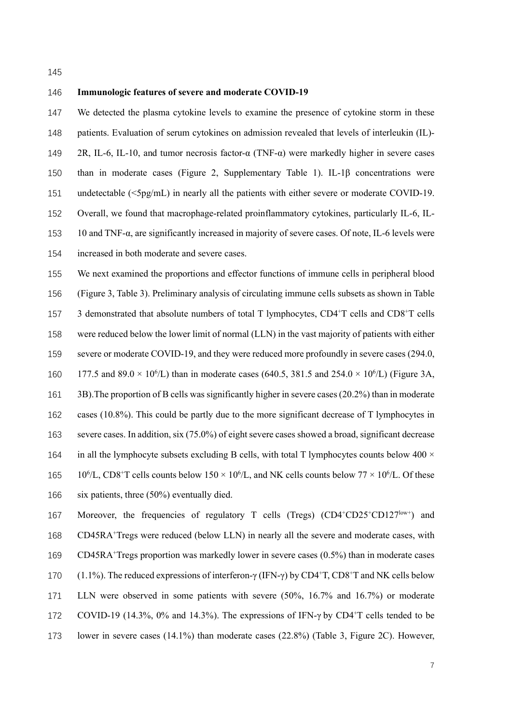#### Immunologic features of severe and moderate COVID-19

We detected the plasma cytokine levels to examine the presence of cytokine storm in these patients. Evaluation of serum cytokines on admission revealed that levels of interleukin (IL)- 2R, IL-6, IL-10, and tumor necrosis factor-α (TNF-α) were markedly higher in severe cases than in moderate cases (Figure 2, Supplementary Table 1). IL-1β concentrations were undetectable (<5pg/mL) in nearly all the patients with either severe or moderate COVID-19. Overall, we found that macrophage-related proinflammatory cytokines, particularly IL-6, IL-10 and TNF-α, are significantly increased in majority of severe cases. Of note, IL-6 levels were increased in both moderate and severe cases.

We next examined the proportions and effector functions of immune cells in peripheral blood (Figure 3, Table 3). Preliminary analysis of circulating immune cells subsets as shown in Table  $3\text{ demonstrated that absolute numbers of total T lymphocytes, CD4}^+$  cells and CD8<sup>+</sup>T cells were reduced below the lower limit of normal (LLN) in the vast majority of patients with either 159 severe or moderate COVID-19, and they were reduced more profoundly in severe cases (294.0, 160 177.5 and 89.0  $\times$  10<sup>6</sup>/L) than in moderate cases (640.5, 381.5 and 254.0  $\times$  10<sup>6</sup>/L) (Figure 3A, 3B).The proportion of B cells was significantly higher in severe cases (20.2%) than in moderate cases (10.8%). This could be partly due to the more significant decrease of T lymphocytes in severe cases. In addition, six (75.0%) of eight severe cases showed a broad, significant decrease 164 in all the lymphocyte subsets excluding B cells, with total T lymphocytes counts below  $400 \times$ 165 10<sup>6</sup>/L, CD8<sup>+</sup>T cells counts below 150  $\times$  10<sup>6</sup>/L, and NK cells counts below 77  $\times$  10<sup>6</sup>/L. Of these six patients, three (50%) eventually died.

167 Moreover, the frequencies of regulatory T cells (Tregs)  $(CD4+CD25+CD127^{{\rm low+}})$  and 168 CD45RA<sup>+</sup> Tregs were reduced (below LLN) in nearly all the severe and moderate cases, with CD45RA<sup>+</sup> Tregs proportion was markedly lower in severe cases (0.5%) than in moderate cases 170  $(1.1\%)$ . The reduced expressions of interferon-γ (IFN-γ) by CD4<sup>+</sup>T, CD8<sup>+</sup>T and NK cells below LLN were observed in some patients with severe (50%, 16.7% and 16.7%) or moderate COVID-19 (14.3%, 0% and 14.3%). The expressions of IFN-γ by CD4<sup>+</sup>T cells tended to be lower in severe cases (14.1%) than moderate cases (22.8%) (Table 3, Figure 2C). However,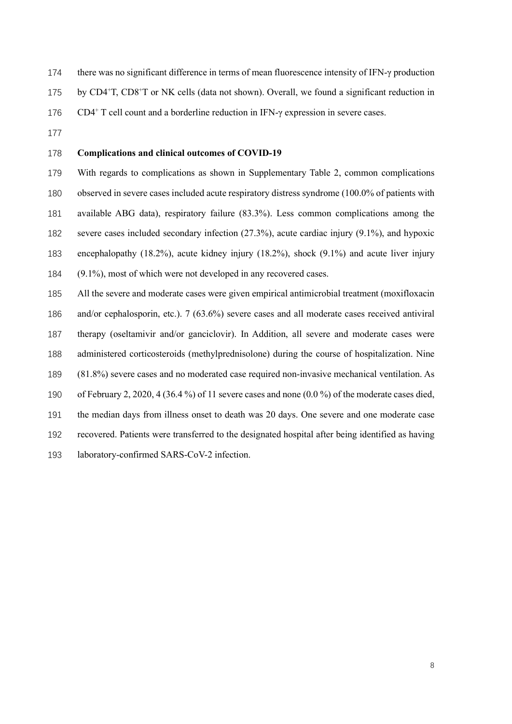- there was no significant difference in terms of mean fluorescence intensity of IFN-γ production
- 175 by CD4<sup>+</sup>T, CD8<sup>+</sup>T or NK cells (data not shown). Overall, we found a significant reduction in
- CD4<sup>+</sup> T cell count and a borderline reduction in IFN- $\gamma$  expression in severe cases.
- 

#### Complications and clinical outcomes of COVID-19

With regards to complications as shown in Supplementary Table 2, common complications observed in severe cases included acute respiratory distress syndrome (100.0% of patients with available ABG data), respiratory failure (83.3%). Less common complications among the severe cases included secondary infection (27.3%), acute cardiac injury (9.1%), and hypoxic encephalopathy (18.2%), acute kidney injury (18.2%), shock (9.1%) and acute liver injury (9.1%), most of which were not developed in any recovered cases.

All the severe and moderate cases were given empirical antimicrobial treatment (moxifloxacin and/or cephalosporin, etc.). 7 (63.6%) severe cases and all moderate cases received antiviral therapy (oseltamivir and/or ganciclovir). In Addition, all severe and moderate cases were administered corticosteroids (methylprednisolone) during the course of hospitalization. Nine (81.8%) severe cases and no moderated case required non-invasive mechanical ventilation. As of February 2, 2020, 4 (36.4 %) of 11 severe cases and none (0.0 %) of the moderate cases died, the median days from illness onset to death was 20 days. One severe and one moderate case recovered. Patients were transferred to the designated hospital after being identified as having laboratory-confirmed SARS-CoV-2 infection.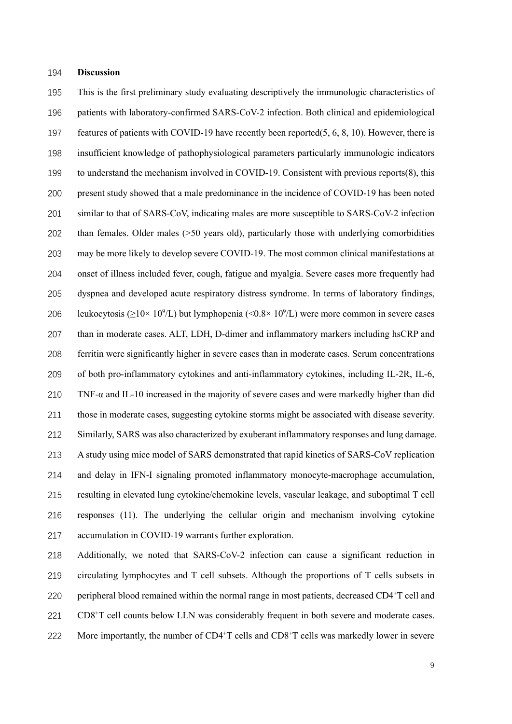#### Discussion

This is the first preliminary study evaluating descriptively the immunologic characteristics of patients with laboratory-confirmed SARS-CoV-2 infection. Both clinical and epidemiological features of patients with COVID-19 have recently been reported(5, 6, 8, 10). However, there is insufficient knowledge of pathophysiological parameters particularly immunologic indicators to understand the mechanism involved in COVID-19. Consistent with previous reports(8), this present study showed that a male predominance in the incidence of COVID-19 has been noted similar to that of SARS-CoV, indicating males are more susceptible to SARS-CoV-2 infection than females. Older males (>50 years old), particularly those with underlying comorbidities may be more likely to develop severe COVID-19. The most common clinical manifestations at onset of illness included fever, cough, fatigue and myalgia. Severe cases more frequently had dyspnea and developed acute respiratory distress syndrome. In terms of laboratory findings, 206 leukocytosis ( $\geq$ 10× 10<sup>9</sup>/L) but lymphopenia (<0.8× 10<sup>9</sup>/L) were more common in severe cases than in moderate cases. ALT, LDH, D-dimer and inflammatory markers including hsCRP and ferritin were significantly higher in severe cases than in moderate cases. Serum concentrations of both pro-inflammatory cytokines and anti-inflammatory cytokines, including IL-2R, IL-6, TNF-α and IL-10 increased in the majority of severe cases and were markedly higher than did those in moderate cases, suggesting cytokine storms might be associated with disease severity. Similarly, SARS was also characterized by exuberant inflammatory responses and lung damage. A study using mice model of SARS demonstrated that rapid kinetics of SARS-CoV replication and delay in IFN-I signaling promoted inflammatory monocyte-macrophage accumulation, resulting in elevated lung cytokine/chemokine levels, vascular leakage, and suboptimal T cell responses (11). The underlying the cellular origin and mechanism involving cytokine accumulation in COVID-19 warrants further exploration.

Additionally, we noted that SARS-CoV-2 infection can cause a significant reduction in circulating lymphocytes and T cell subsets. Although the proportions of T cells subsets in 220 peripheral blood remained within the normal range in most patients, decreased  $CD4+T$  cell and 221 CD8<sup>+</sup>T cell counts below LLN was considerably frequent in both severe and moderate cases. 222 More importantly, the number of  $CD4+T$  cells and  $CD8+T$  cells was markedly lower in severe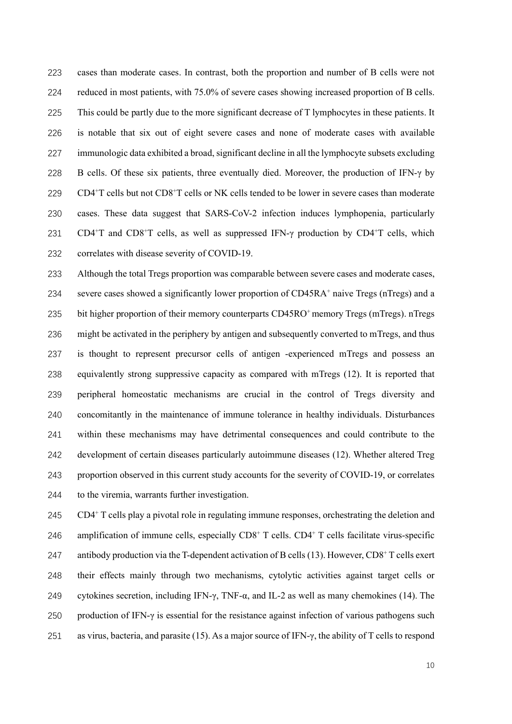cases than moderate cases. In contrast, both the proportion and number of B cells were not reduced in most patients, with 75.0% of severe cases showing increased proportion of B cells. This could be partly due to the more significant decrease of T lymphocytes in these patients. It is notable that six out of eight severe cases and none of moderate cases with available immunologic data exhibited a broad, significant decline in all the lymphocyte subsets excluding B cells. Of these six patients, three eventually died. Moreover, the production of IFN-γ by CD4<sup>+</sup>T cells but not CD8<sup>+</sup>T cells or NK cells tended to be lower in severe cases than moderate cases. These data suggest that SARS-CoV-2 infection induces lymphopenia, particularly CD4<sup>+</sup>T and CD8<sup>+</sup>T cells, as well as suppressed IFN- $\gamma$  production by CD4<sup>+</sup>T cells, which correlates with disease severity of COVID-19.

Although the total Tregs proportion was comparable between severe cases and moderate cases, 234 severe cases showed a significantly lower proportion of CD45RA<sup>+</sup> naive Tregs (nTregs) and a 235 bit higher proportion of their memory counterparts  $CD45RO<sup>+</sup>$  memory Tregs (mTregs). nTregs might be activated in the periphery by antigen and subsequently converted to mTregs, and thus is thought to represent precursor cells of antigen -experienced mTregs and possess an equivalently strong suppressive capacity as compared with mTregs (12). It is reported that peripheral homeostatic mechanisms are crucial in the control of Tregs diversity and concomitantly in the maintenance of immune tolerance in healthy individuals. Disturbances within these mechanisms may have detrimental consequences and could contribute to the development of certain diseases particularly autoimmune diseases (12). Whether altered Treg proportion observed in this current study accounts for the severity of COVID-19, or correlates to the viremia, warrants further investigation.

245 CD4<sup>+</sup> T cells play a pivotal role in regulating immune responses, orchestrating the deletion and 246 amplification of immune cells, especially  $CDS^+$  T cells.  $CD4^+$  T cells facilitate virus-specific 247 antibody production via the T-dependent activation of B cells (13). However,  $CD8^+$  T cells exert their effects mainly through two mechanisms, cytolytic activities against target cells or 249 cytokines secretion, including IFN- $\gamma$ , TNF- $\alpha$ , and IL-2 as well as many chemokines (14). The production of IFN-γ is essential for the resistance against infection of various pathogens such as virus, bacteria, and parasite (15). As a major source of IFN-γ, the ability of T cells to respond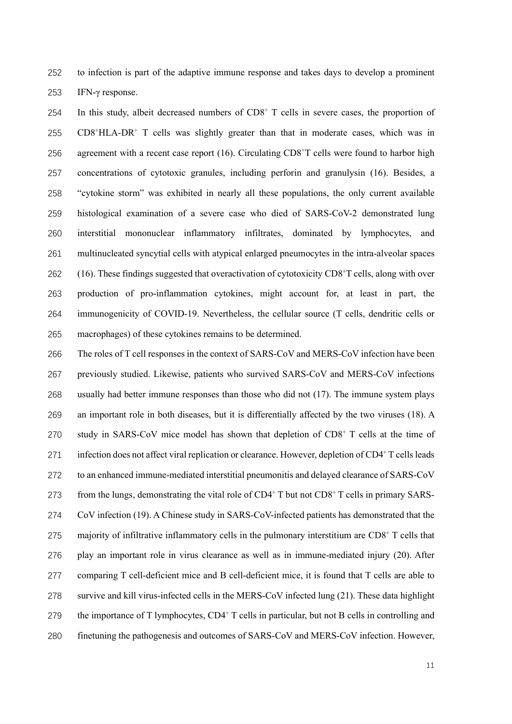to infection is part of the adaptive immune response and takes days to develop a prominent IFN-γ response.

254 In this study, albeit decreased numbers of  $CD8<sup>+</sup>$  T cells in severe cases, the proportion of CD8<sup>+</sup>HLA-DR<sup>+</sup> T cells was slightly greater than that in moderate cases, which was in 256 agreement with a recent case report (16). Circulating  $CD8<sup>+</sup>T$  cells were found to harbor high concentrations of cytotoxic granules, including perforin and granulysin (16). Besides, a "cytokine storm" was exhibited in nearly all these populations, the only current available histological examination of a severe case who died of SARS-CoV-2 demonstrated lung interstitial mononuclear inflammatory infiltrates, dominated by lymphocytes, and multinucleated syncytial cells with atypical enlarged pneumocytes in the intra-alveolar spaces  $(16)$ . These findings suggested that overactivation of cytotoxicity CD8<sup>+</sup>T cells, along with over production of pro-inflammation cytokines, might account for, at least in part, the immunogenicity of COVID-19. Nevertheless, the cellular source (T cells, dendritic cells or macrophages) of these cytokines remains to be determined.

The roles of T cell responses in the context of SARS-CoV and MERS-CoV infection have been previously studied. Likewise, patients who survived SARS-CoV and MERS-CoV infections usually had better immune responses than those who did not (17). The immune system plays an important role in both diseases, but it is differentially affected by the two viruses (18). A 270 study in SARS-CoV mice model has shown that depletion of  $CDS<sup>+</sup> T$  cells at the time of 271 infection does not affect viral replication or clearance. However, depletion of  $CD4^+T$  cells leads to an enhanced immune-mediated interstitial pneumonitis and delayed clearance of SARS-CoV 273 from the lungs, demonstrating the vital role of  $CD4^+$  T but not  $CD8^+$  T cells in primary SARS-CoV infection (19). A Chinese study in SARS-CoV-infected patients has demonstrated that the 275 majority of infiltrative inflammatory cells in the pulmonary interstitium are  $CD8<sup>+</sup>$  T cells that play an important role in virus clearance as well as in immune-mediated injury (20). After comparing T cell-deficient mice and B cell-deficient mice, it is found that T cells are able to survive and kill virus-infected cells in the MERS-CoV infected lung (21). These data highlight 279 the importance of T lymphocytes,  $CD4^+$  T cells in particular, but not B cells in controlling and finetuning the pathogenesis and outcomes of SARS-CoV and MERS-CoV infection. However,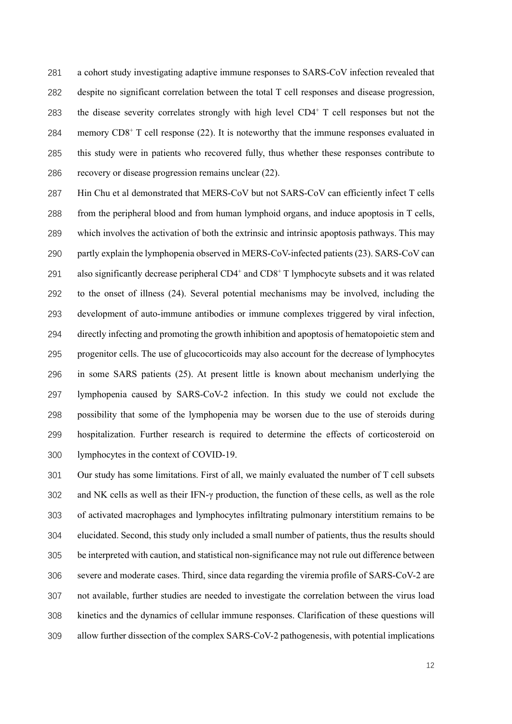a cohort study investigating adaptive immune responses to SARS-CoV infection revealed that despite no significant correlation between the total T cell responses and disease progression, 283 the disease severity correlates strongly with high level  $CD4^+$  T cell responses but not the 284 memory  $CDS^+$  T cell response (22). It is noteworthy that the immune responses evaluated in this study were in patients who recovered fully, thus whether these responses contribute to recovery or disease progression remains unclear (22).

Hin Chu et al demonstrated that MERS-CoV but not SARS-CoV can efficiently infect T cells from the peripheral blood and from human lymphoid organs, and induce apoptosis in T cells, which involves the activation of both the extrinsic and intrinsic apoptosis pathways. This may partly explain the lymphopenia observed in MERS-CoV-infected patients (23). SARS-CoV can 291 also significantly decrease peripheral CD4<sup>+</sup> and CD8<sup>+</sup> T lymphocyte subsets and it was related to the onset of illness (24). Several potential mechanisms may be involved, including the development of auto-immune antibodies or immune complexes triggered by viral infection, directly infecting and promoting the growth inhibition and apoptosis of hematopoietic stem and progenitor cells. The use of glucocorticoids may also account for the decrease of lymphocytes in some SARS patients (25). At present little is known about mechanism underlying the lymphopenia caused by SARS-CoV-2 infection. In this study we could not exclude the possibility that some of the lymphopenia may be worsen due to the use of steroids during hospitalization. Further research is required to determine the effects of corticosteroid on lymphocytes in the context of COVID-19.

Our study has some limitations. First of all, we mainly evaluated the number of T cell subsets and NK cells as well as their IFN-γ production, the function of these cells, as well as the role of activated macrophages and lymphocytes infiltrating pulmonary interstitium remains to be elucidated. Second, this study only included a small number of patients, thus the results should be interpreted with caution, and statistical non-significance may not rule out difference between severe and moderate cases. Third, since data regarding the viremia profile of SARS-CoV-2 are not available, further studies are needed to investigate the correlation between the virus load kinetics and the dynamics of cellular immune responses. Clarification of these questions will allow further dissection of the complex SARS-CoV-2 pathogenesis, with potential implications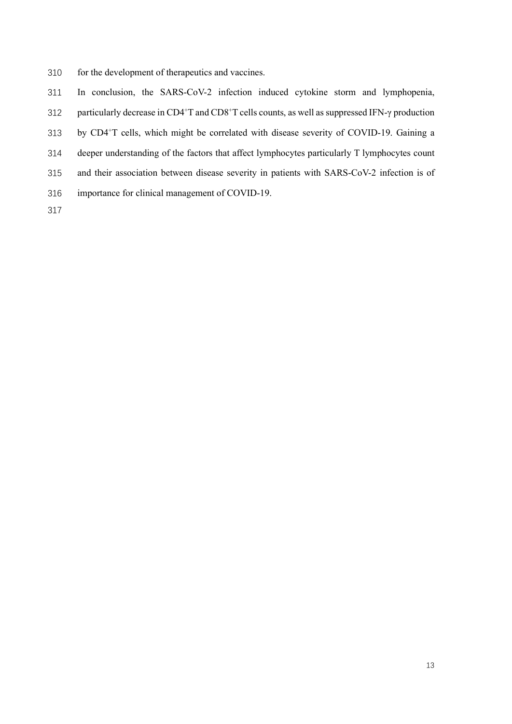- for the development of therapeutics and vaccines.
- In conclusion, the SARS-CoV-2 infection induced cytokine storm and lymphopenia,
- 312 particularly decrease in CD4<sup>+</sup>T and CD8<sup>+</sup>T cells counts, as well as suppressed IFN-γ production
- 313 by CD4+T cells, which might be correlated with disease severity of COVID-19. Gaining a
- deeper understanding of the factors that affect lymphocytes particularly T lymphocytes count
- and their association between disease severity in patients with SARS-CoV-2 infection is of
- importance for clinical management of COVID-19.
-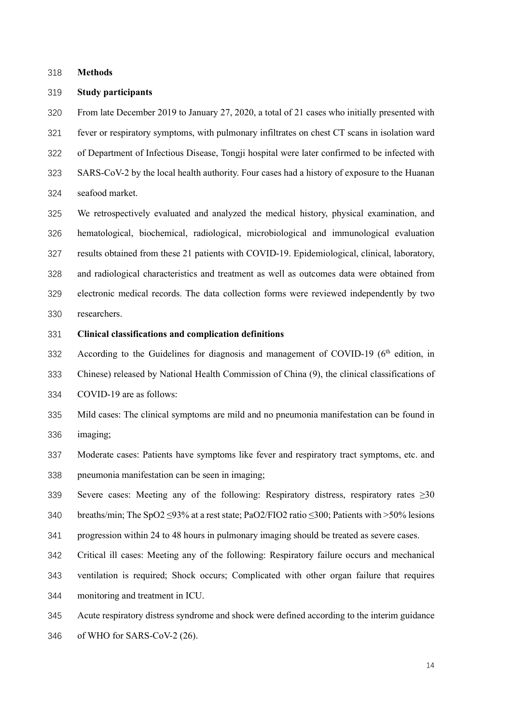Methods

#### Study participants

From late December 2019 to January 27, 2020, a total of 21 cases who initially presented with fever or respiratory symptoms, with pulmonary infiltrates on chest CT scans in isolation ward of Department of Infectious Disease, Tongji hospital were later confirmed to be infected with SARS-CoV-2 by the local health authority. Four cases had a history of exposure to the Huanan seafood market.

We retrospectively evaluated and analyzed the medical history, physical examination, and hematological, biochemical, radiological, microbiological and immunological evaluation results obtained from these 21 patients with COVID-19. Epidemiological, clinical, laboratory, and radiological characteristics and treatment as well as outcomes data were obtained from electronic medical records. The data collection forms were reviewed independently by two researchers.

#### Clinical classifications and complication definitions

According to the Guidelines for diagnosis and management of COVID-19 ( $6<sup>th</sup>$  edition, in

Chinese) released by National Health Commission of China (9), the clinical classifications of

COVID-19 are as follows:

- Mild cases: The clinical symptoms are mild and no pneumonia manifestation can be found in imaging;
- Moderate cases: Patients have symptoms like fever and respiratory tract symptoms, etc. and pneumonia manifestation can be seen in imaging;
- Severe cases: Meeting any of the following: Respiratory distress, respiratory rates ≥30
- breaths/min; The SpO2 ≤93% at a rest state; PaO2/FIO2 ratio ≤300; Patients with >50% lesions
- progression within 24 to 48 hours in pulmonary imaging should be treated as severe cases.
- Critical ill cases: Meeting any of the following: Respiratory failure occurs and mechanical
- ventilation is required; Shock occurs; Complicated with other organ failure that requires monitoring and treatment in ICU.
- Acute respiratory distress syndrome and shock were defined according to the interim guidance
- of WHO for SARS-CoV-2 (26).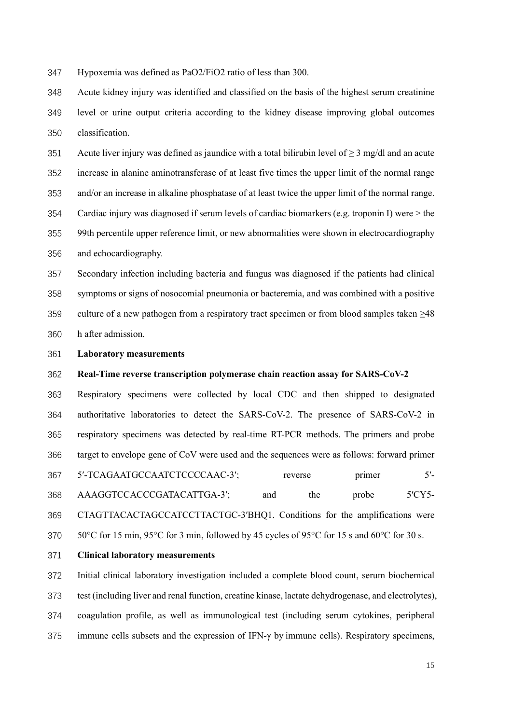Hypoxemia was defined as PaO2/FiO2 ratio of less than 300.

Acute kidney injury was identified and classified on the basis of the highest serum creatinine level or urine output criteria according to the kidney disease improving global outcomes classification.

351 Acute liver injury was defined as jaundice with a total bilirubin level of  $\geq$  3 mg/dl and an acute increase in alanine aminotransferase of at least five times the upper limit of the normal range and/or an increase in alkaline phosphatase of at least twice the upper limit of the normal range. Cardiac injury was diagnosed if serum levels of cardiac biomarkers (e.g. troponin I) were > the 99th percentile upper reference limit, or new abnormalities were shown in electrocardiography and echocardiography.

Secondary infection including bacteria and fungus was diagnosed if the patients had clinical symptoms or signs of nosocomial pneumonia or bacteremia, and was combined with a positive culture of a new pathogen from a respiratory tract specimen or from blood samples taken ≥48 h after admission.

#### Laboratory measurements

#### Real-Time reverse transcription polymerase chain reaction assay for SARS-CoV-2

Respiratory specimens were collected by local CDC and then shipped to designated authoritative laboratories to detect the SARS-CoV-2. The presence of SARS-CoV-2 in respiratory specimens was detected by real-time RT-PCR methods. The primers and probe target to envelope gene of CoV were used and the sequences were as follows: forward primer 367 5'-TCAGAATGCCAATCTCCCCAAC-3'; reverse primer 5'-AAAGGTCCACCCGATACATTGA-3′; and the probe 5′CY5- CTAGTTACACTAGCCATCCTTACTGC-3′BHQ1. Conditions for the amplifications were 370 50°C for 15 min, 95°C for 3 min, followed by 45 cycles of 95°C for 15 s and 60°C for 30 s.

Clinical laboratory measurements

Initial clinical laboratory investigation included a complete blood count, serum biochemical test (including liver and renal function, creatine kinase, lactate dehydrogenase, and electrolytes), coagulation profile, as well as immunological test (including serum cytokines, peripheral immune cells subsets and the expression of IFN-γ by immune cells). Respiratory specimens,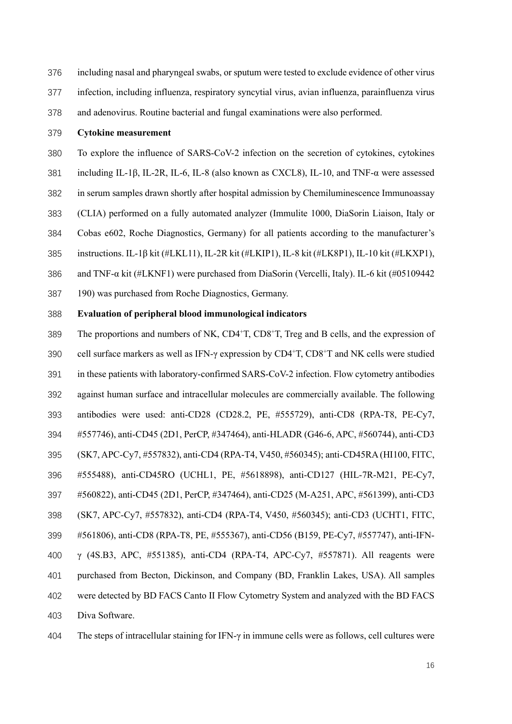including nasal and pharyngeal swabs, or sputum were tested to exclude evidence of other virus

infection, including influenza, respiratory syncytial virus, avian influenza, parainfluenza virus

and adenovirus. Routine bacterial and fungal examinations were also performed.

#### Cytokine measurement

To explore the influence of SARS-CoV-2 infection on the secretion of cytokines, cytokines including IL-1β, IL-2R, IL-6, IL-8 (also known as CXCL8), IL-10, and TNF-α were assessed in serum samples drawn shortly after hospital admission by Chemiluminescence Immunoassay (CLIA) performed on a fully automated analyzer (Immulite 1000, DiaSorin Liaison, Italy or Cobas e602, Roche Diagnostics, Germany) for all patients according to the manufacturer's instructions. IL-1β kit (#LKL11), IL-2R kit (#LKIP1), IL-8 kit (#LK8P1), IL-10 kit (#LKXP1), and TNF-α kit (#LKNF1) were purchased from DiaSorin (Vercelli, Italy). IL-6 kit (#05109442 190) was purchased from Roche Diagnostics, Germany.

#### Evaluation of peripheral blood immunological indicators

389 The proportions and numbers of NK,  $CD4+T$ ,  $CD8+T$ , Treg and B cells, and the expression of 390 cell surface markers as well as IFN- $\gamma$  expression by CD4<sup>+</sup>T, CD8<sup>+</sup>T and NK cells were studied in these patients with laboratory-confirmed SARS-CoV-2 infection. Flow cytometry antibodies against human surface and intracellular molecules are commercially available. The following antibodies were used: anti-CD28 (CD28.2, PE, #555729), anti-CD8 (RPA-T8, PE-Cy7, #557746), anti-CD45 (2D1, PerCP, #347464), anti-HLADR (G46-6, APC, #560744), anti-CD3 (SK7, APC-Cy7, #557832), anti-CD4 (RPA-T4, V450, #560345); anti-CD45RA (HI100, FITC, #555488), anti-CD45RO (UCHL1, PE, #5618898), anti-CD127 (HIL-7R-M21, PE-Cy7, #560822), anti-CD45 (2D1, PerCP, #347464), anti-CD25 (M-A251, APC, #561399), anti-CD3 (SK7, APC-Cy7, #557832), anti-CD4 (RPA-T4, V450, #560345); anti-CD3 (UCHT1, FITC, #561806), anti-CD8 (RPA-T8, PE, #555367), anti-CD56 (B159, PE-Cy7, #557747), anti-IFN-γ (4S.B3, APC, #551385), anti-CD4 (RPA-T4, APC-Cy7, #557871). All reagents were purchased from Becton, Dickinson, and Company (BD, Franklin Lakes, USA). All samples were detected by BD FACS Canto II Flow Cytometry System and analyzed with the BD FACS Diva Software.

The steps of intracellular staining for IFN-γ in immune cells were as follows, cell cultures were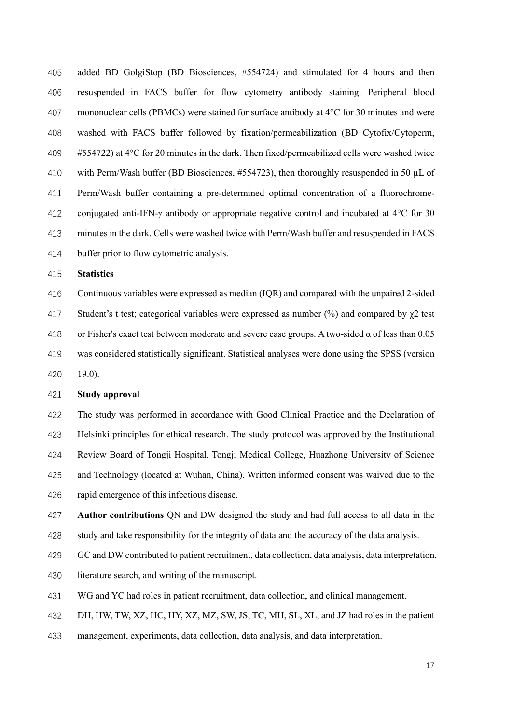added BD GolgiStop (BD Biosciences, #554724) and stimulated for 4 hours and then resuspended in FACS buffer for flow cytometry antibody staining. Peripheral blood mononuclear cells (PBMCs) were stained for surface antibody at 4°C for 30 minutes and were washed with FACS buffer followed by fixation/permeabilization (BD Cytofix/Cytoperm, #554722) at 4°C for 20 minutes in the dark. Then fixed/permeabilized cells were washed twice with Perm/Wash buffer (BD Biosciences, #554723), then thoroughly resuspended in 50 µL of Perm/Wash buffer containing a pre-determined optimal concentration of a fluorochrome-conjugated anti-IFN-γ antibody or appropriate negative control and incubated at 4°C for 30 minutes in the dark. Cells were washed twice with Perm/Wash buffer and resuspended in FACS buffer prior to flow cytometric analysis.

Statistics

Continuous variables were expressed as median (IQR) and compared with the unpaired 2-sided 417 Student's t test; categorical variables were expressed as number  $\frac{1}{2}$  and compared by  $\gamma$ 2 test 418 or Fisher's exact test between moderate and severe case groups. A two-sided  $\alpha$  of less than 0.05 was considered statistically significant. Statistical analyses were done using the SPSS (version 19.0).

#### Study approval

The study was performed in accordance with Good Clinical Practice and the Declaration of Helsinki principles for ethical research. The study protocol was approved by the Institutional Review Board of Tongji Hospital, Tongji Medical College, Huazhong University of Science and Technology (located at Wuhan, China). Written informed consent was waived due to the rapid emergence of this infectious disease.

427 Author contributions QN and DW designed the study and had full access to all data in the study and take responsibility for the integrity of data and the accuracy of the data analysis.

GC and DW contributed to patient recruitment, data collection, data analysis, data interpretation,

literature search, and writing of the manuscript.

WG and YC had roles in patient recruitment, data collection, and clinical management.

DH, HW, TW, XZ, HC, HY, XZ, MZ, SW, JS, TC, MH, SL, XL, and JZ had roles in the patient

management, experiments, data collection, data analysis, and data interpretation.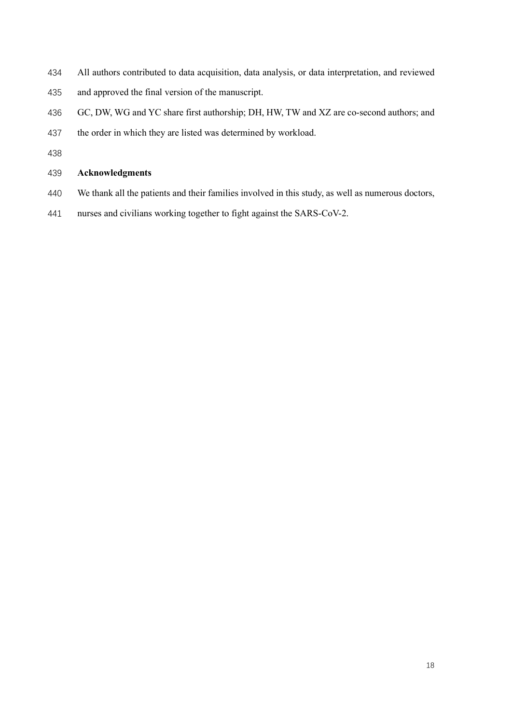- All authors contributed to data acquisition, data analysis, or data interpretation, and reviewed
- and approved the final version of the manuscript.
- GC, DW, WG and YC share first authorship; DH, HW, TW and XZ are co-second authors; and
- the order in which they are listed was determined by workload.
- 

#### Acknowledgments

- We thank all the patients and their families involved in this study, as well as numerous doctors,
- nurses and civilians working together to fight against the SARS-CoV-2.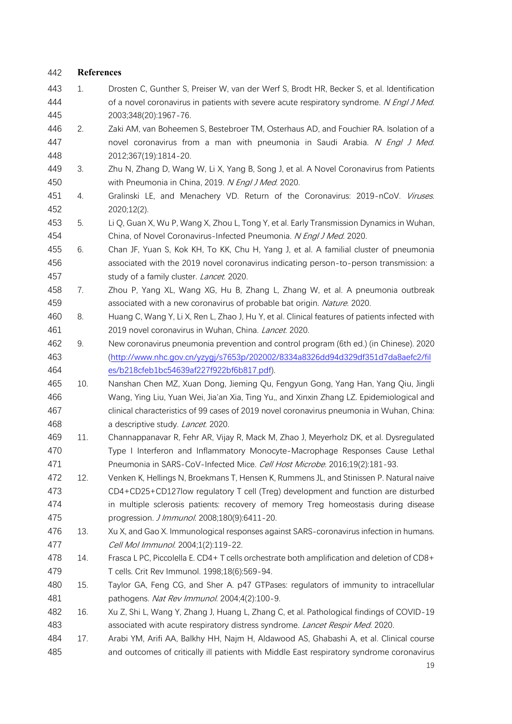### References

- 1. Drosten C, Gunther S, Preiser W, van der Werf S, Brodt HR, Becker S, et al. Identification 444 of a novel coronavirus in patients with severe acute respiratory syndrome. N Engl J Med. 2003;348(20):1967-76.
- 2. Zaki AM, van Boheemen S, Bestebroer TM, Osterhaus AD, and Fouchier RA. Isolation of a 447 novel coronavirus from a man with pneumonia in Saudi Arabia. N Engl J Med. 2012;367(19):1814-20.
- 3. Zhu N, Zhang D, Wang W, Li X, Yang B, Song J, et al. A Novel Coronavirus from Patients 450 with Pneumonia in China, 2019. N Engl J Med. 2020.
- 451 4. Gralinski LE, and Menachery VD. Return of the Coronavirus: 2019-nCoV. Viruses. 2020;12(2).
- 5. Li Q, Guan X, Wu P, Wang X, Zhou L, Tong Y, et al. Early Transmission Dynamics in Wuhan, 454 China, of Novel Coronavirus-Infected Pneumonia. N Engl J Med. 2020.
- 6. Chan JF, Yuan S, Kok KH, To KK, Chu H, Yang J, et al. A familial cluster of pneumonia associated with the 2019 novel coronavirus indicating person-to-person transmission: a 457 study of a family cluster. Lancet. 2020.
- 7. Zhou P, Yang XL, Wang XG, Hu B, Zhang L, Zhang W, et al. A pneumonia outbreak 459 associated with a new coronavirus of probable bat origin. Nature. 2020.
- 8. Huang C, Wang Y, Li X, Ren L, Zhao J, Hu Y, et al. Clinical features of patients infected with 461 2019 novel coronavirus in Wuhan, China. Lancet. 2020.
- 9. New coronavirus pneumonia prevention and control program (6th ed.) (in Chinese). 2020 (http://www.nhc.gov.cn/yzygj/s7653p/202002/8334a8326dd94d329df351d7da8aefc2/fil es/b218cfeb1bc54639af227f922bf6b817.pdf).
- 10. Nanshan Chen MZ, Xuan Dong, Jieming Qu, Fengyun Gong, Yang Han, Yang Qiu, Jingli Wang, Ying Liu, Yuan Wei, Jia'an Xia, Ting Yu,, and Xinxin Zhang LZ. Epidemiological and clinical characteristics of 99 cases of 2019 novel coronavirus pneumonia in Wuhan, China: 468 a descriptive study. *Lancet.* 2020.
- 11. Channappanavar R, Fehr AR, Vijay R, Mack M, Zhao J, Meyerholz DK, et al. Dysregulated Type I Interferon and Inflammatory Monocyte-Macrophage Responses Cause Lethal 471 Pneumonia in SARS-CoV-Infected Mice. Cell Host Microbe. 2016;19(2):181-93.
- 12. Venken K, Hellings N, Broekmans T, Hensen K, Rummens JL, and Stinissen P. Natural naive CD4+CD25+CD127low regulatory T cell (Treg) development and function are disturbed in multiple sclerosis patients: recovery of memory Treg homeostasis during disease 475 progression. *J Immunol.* 2008;180(9):6411-20.
- 13. Xu X, and Gao X. Immunological responses against SARS-coronavirus infection in humans. Cell Mol Immunol. 2004;1(2):119-22.
- 14. Frasca L PC, Piccolella E. CD4+ T cells orchestrate both amplification and deletion of CD8+ T cells. Crit Rev Immunol. 1998;18(6):569-94.
- 15. Taylor GA, Feng CG, and Sher A. p47 GTPases: regulators of immunity to intracellular pathogens. Nat Rev Immunol. 2004;4(2):100-9.
- 16. Xu Z, Shi L, Wang Y, Zhang J, Huang L, Zhang C, et al. Pathological findings of COVID-19 483 associated with acute respiratory distress syndrome. Lancet Respir Med. 2020.
- 17. Arabi YM, Arifi AA, Balkhy HH, Najm H, Aldawood AS, Ghabashi A, et al. Clinical course and outcomes of critically ill patients with Middle East respiratory syndrome coronavirus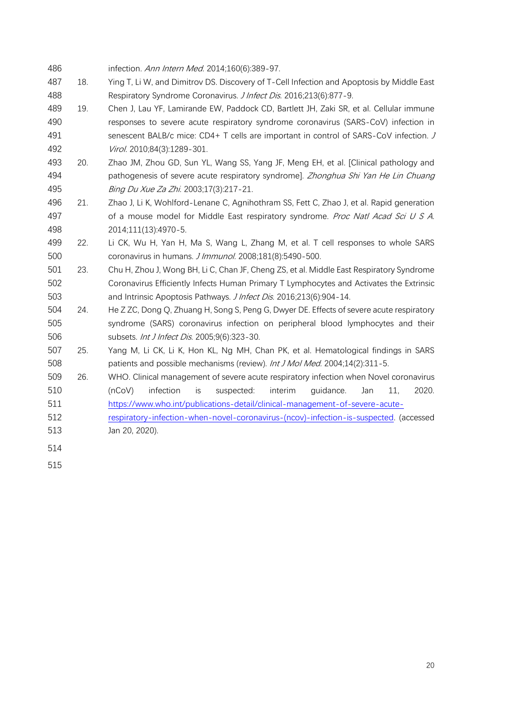- infection. Ann Intern Med. 2014;160(6):389-97. 18. Ying T, Li W, and Dimitrov DS. Discovery of T-Cell Infection and Apoptosis by Middle East Respiratory Syndrome Coronavirus. J Infect Dis. 2016;213(6):877-9.
- 19. Chen J, Lau YF, Lamirande EW, Paddock CD, Bartlett JH, Zaki SR, et al. Cellular immune responses to severe acute respiratory syndrome coronavirus (SARS-CoV) infection in 491 senescent BALB/c mice: CD4+ T cells are important in control of SARS-CoV infection. J Virol. 2010;84(3):1289-301.
- 20. Zhao JM, Zhou GD, Sun YL, Wang SS, Yang JF, Meng EH, et al. [Clinical pathology and 494 pathogenesis of severe acute respiratory syndrome]. Zhonghua Shi Yan He Lin Chuang 495 Bing Du Xue Za Zhi. 2003;17(3):217-21.
- 21. Zhao J, Li K, Wohlford-Lenane C, Agnihothram SS, Fett C, Zhao J, et al. Rapid generation 497 of a mouse model for Middle East respiratory syndrome. Proc Natl Acad Sci U S A. 2014;111(13):4970-5.
- 22. Li CK, Wu H, Yan H, Ma S, Wang L, Zhang M, et al. T cell responses to whole SARS coronavirus in humans. J Immunol. 2008;181(8):5490-500.
- 23. Chu H, Zhou J, Wong BH, Li C, Chan JF, Cheng ZS, et al. Middle East Respiratory Syndrome Coronavirus Efficiently Infects Human Primary T Lymphocytes and Activates the Extrinsic 503 and Intrinsic Apoptosis Pathways. *J Infect Dis.* 2016;213(6):904-14.
- 24. He Z ZC, Dong Q, Zhuang H, Song S, Peng G, Dwyer DE. Effects of severe acute respiratory syndrome (SARS) coronavirus infection on peripheral blood lymphocytes and their subsets. Int J Infect Dis. 2005;9(6):323-30.
- 25. Yang M, Li CK, Li K, Hon KL, Ng MH, Chan PK, et al. Hematological findings in SARS 508 patients and possible mechanisms (review). *Int J Mol Med.* 2004;14(2):311-5.
- 26. WHO. Clinical management of severe acute respiratory infection when Novel coronavirus (nCoV) infection is suspected: interim guidance. Jan 11, 2020. https://www.who.int/publications-detail/clinical-management-of-severe-acute-
- respiratory-infection-when-novel-coronavirus-(ncov)-infection-is-suspected. (accessed Jan 20, 2020).
- 
-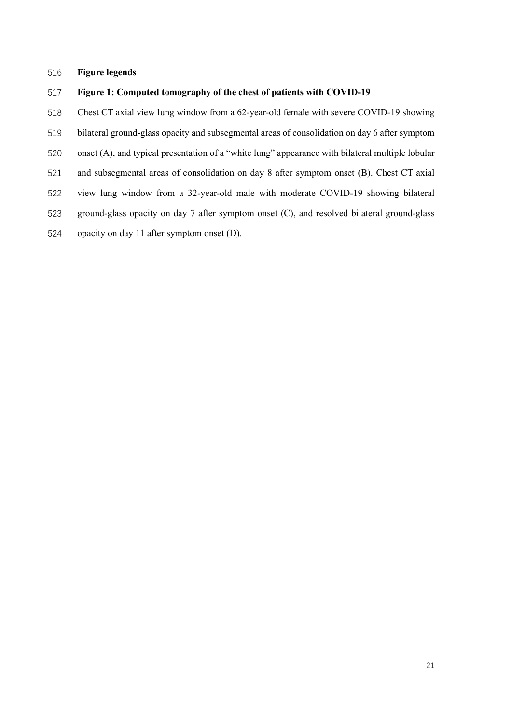#### Figure legends

#### Figure 1: Computed tomography of the chest of patients with COVID-19

- Chest CT axial view lung window from a 62-year-old female with severe COVID-19 showing
- bilateral ground-glass opacity and subsegmental areas of consolidation on day 6 after symptom
- onset (A), and typical presentation of a "white lung" appearance with bilateral multiple lobular
- and subsegmental areas of consolidation on day 8 after symptom onset (B). Chest CT axial
- view lung window from a 32-year-old male with moderate COVID-19 showing bilateral
- ground-glass opacity on day 7 after symptom onset (C), and resolved bilateral ground-glass
- opacity on day 11 after symptom onset (D).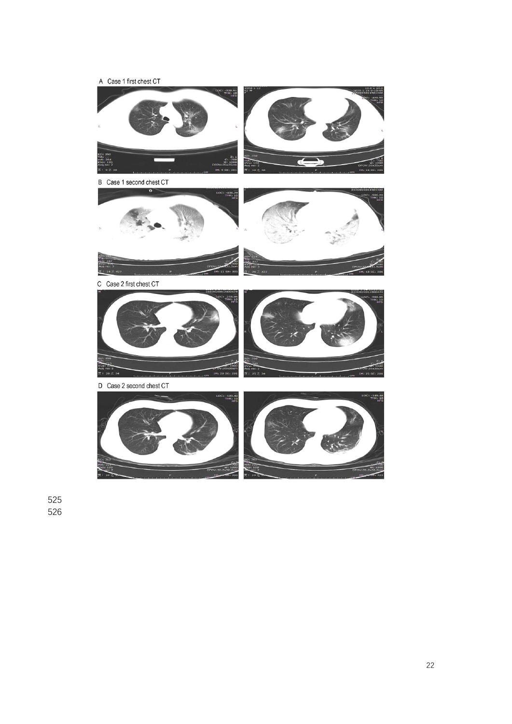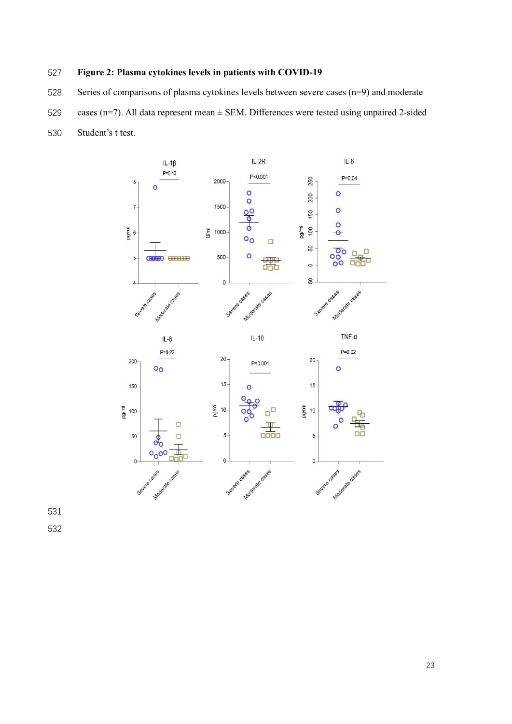# Figure 2: Plasma cytokines levels in patients with COVID-19

Series of comparisons of plasma cytokines levels between severe cases (n=9) and moderate

- 529 cases (n=7). All data represent mean  $\pm$  SEM. Differences were tested using unpaired 2-sided
- Student's t test.

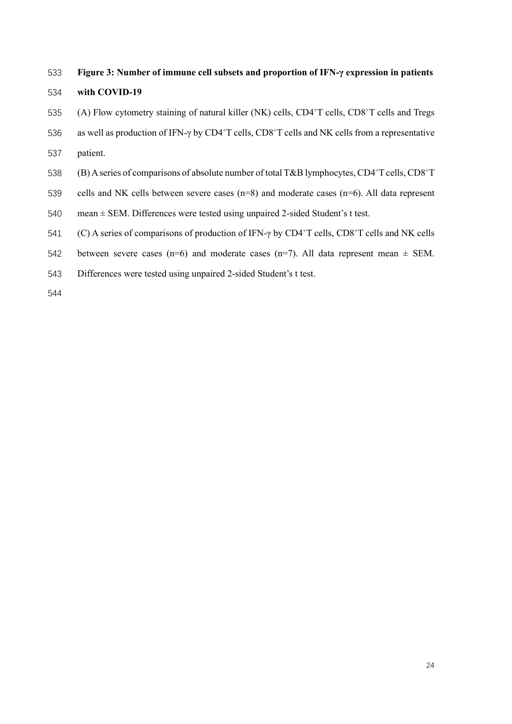#### Figure 3: Number of immune cell subsets and proportion of IFN-γ expression in patients

#### with COVID-19

- $(4)$  Flow cytometry staining of natural killer (NK) cells, CD4<sup>+</sup>T cells, CD8<sup>+</sup>T cells and Tregs
- 536 as well as production of IFN-γ by CD4<sup>+</sup>T cells, CD8<sup>+</sup>T cells and NK cells from a representative
- patient.
- 538 (B) A series of comparisons of absolute number of total T&B lymphocytes, CD4+T cells, CD8+T
- cells and NK cells between severe cases (n=8) and moderate cases (n=6). All data represent
- mean ± SEM. Differences were tested using unpaired 2-sided Student's t test.
- 541 (C) A series of comparisons of production of IFN-γ by CD4<sup>+</sup>T cells, CD8<sup>+</sup>T cells and NK cells
- 542 between severe cases (n=6) and moderate cases (n=7). All data represent mean  $\pm$  SEM.
- Differences were tested using unpaired 2-sided Student's t test.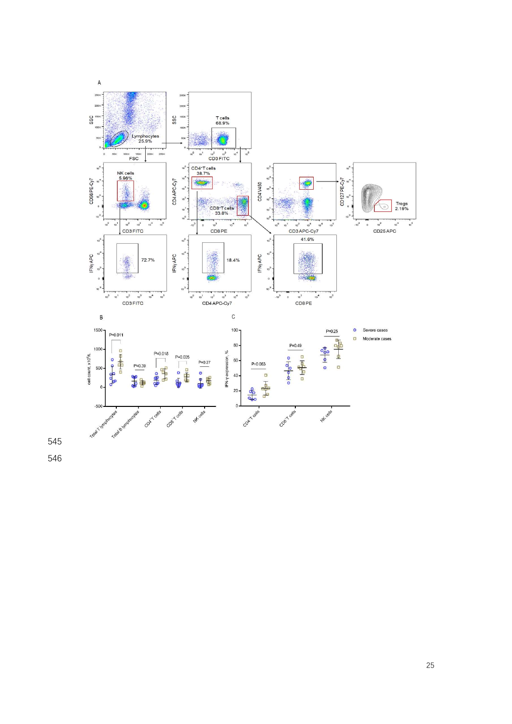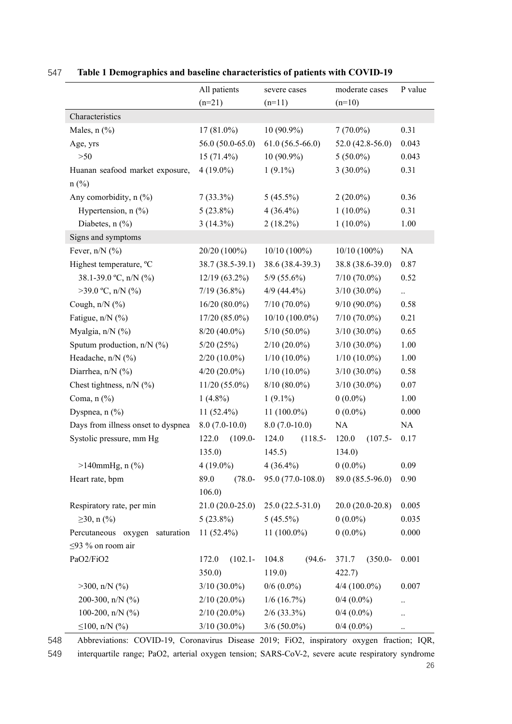|                                    | All patients      |            | severe cases                   |                   |                              | moderate cases    | P value              |
|------------------------------------|-------------------|------------|--------------------------------|-------------------|------------------------------|-------------------|----------------------|
|                                    | $(n=21)$          |            | $(n=11)$                       |                   | $(n=10)$                     |                   |                      |
| Characteristics                    |                   |            |                                |                   |                              |                   |                      |
| Males, $n$ $(\%)$                  | $17(81.0\%)$      |            | $10(90.9\%)$                   |                   | $7(70.0\%)$                  |                   | 0.31                 |
| Age, yrs                           | $56.0(50.0-65.0)$ |            |                                | $61.0(56.5-66.0)$ |                              | $52.0(42.8-56.0)$ |                      |
| $>50$                              | $15(71.4\%)$      |            |                                | $10(90.9\%)$      |                              | $5(50.0\%)$       |                      |
| Huanan seafood market exposure,    | $4(19.0\%)$       |            | $1(9.1\%)$                     |                   | $3(30.0\%)$                  |                   | 0.31                 |
| $n$ (%)                            |                   |            |                                |                   |                              |                   |                      |
| Any comorbidity, n (%)             | $7(33.3\%)$       |            | $5(45.5\%)$                    |                   | $2(20.0\%)$                  |                   | 0.36                 |
| Hypertension, $n$ (%)              | $5(23.8\%)$       |            | $4(36.4\%)$                    |                   | $1(10.0\%)$                  |                   | 0.31                 |
| Diabetes, $n$ (%)                  | $3(14.3\%)$       |            |                                | $2(18.2\%)$       |                              | $1(10.0\%)$       |                      |
| Signs and symptoms                 |                   |            |                                |                   |                              |                   |                      |
| Fever, $n/N$ (%)                   | 20/20 (100%)      |            |                                | $10/10(100\%)$    |                              | $10/10(100\%)$    |                      |
| Highest temperature, °C            | 38.7 (38.5-39.1)  |            | 38.6 (38.4-39.3)               |                   |                              | 38.8 (38.6-39.0)  | 0.87                 |
| 38.1-39.0 °C, n/N (%)              | $12/19(63.2\%)$   |            |                                | $5/9$ (55.6%)     |                              | $7/10(70.0\%)$    |                      |
| $>39.0$ °C, n/N (%)                | $7/19(36.8\%)$    |            | $4/9(44.4\%)$                  |                   | $3/10(30.0\%)$               |                   | $\ddotsc$            |
| Cough, $n/N$ (%)                   | $16/20(80.0\%)$   |            | $7/10(70.0\%)$                 |                   | $9/10(90.0\%)$               |                   | 0.58                 |
| Fatigue, n/N (%)                   | $17/20(85.0\%)$   |            | $10/10(100.0\%)$               |                   | $7/10(70.0\%)$               |                   | 0.21                 |
| Myalgia, n/N (%)                   | $8/20(40.0\%)$    |            | $5/10(50.0\%)$                 |                   | $3/10(30.0\%)$               |                   | 0.65                 |
| Sputum production, n/N (%)         | 5/20(25%)         |            | $2/10(20.0\%)$                 |                   | $3/10(30.0\%)$               |                   | 1.00                 |
| Headache, n/N (%)                  | $2/20(10.0\%)$    |            | $1/10$ (10.0%)                 |                   | $1/10(10.0\%)$               |                   | $1.00\,$             |
| Diarrhea, n/N (%)                  | $4/20(20.0\%)$    |            | $1/10(10.0\%)$                 |                   | $3/10(30.0\%)$               |                   | 0.58                 |
| Chest tightness, $n/N$ (%)         | $11/20(55.0\%)$   |            | $8/10(80.0\%)$                 |                   | $3/10(30.0\%)$               |                   | 0.07                 |
| Coma, $n$ $(\%)$                   | $1(4.8\%)$        |            | $1(9.1\%)$                     |                   | $0(0.0\%)$                   |                   | 1.00                 |
| Dyspnea, $n$ $(\%)$                | $11(52.4\%)$      |            | 11 $(100.0\%)$                 |                   | $0(0.0\%)$                   |                   | 0.000                |
| Days from illness onset to dyspnea | $8.0(7.0-10.0)$   |            | $8.0(7.0-10.0)$                |                   | NA                           |                   | NA                   |
| Systolic pressure, mm Hg           | 122.0             | $(109.0 -$ | 124.0                          | $(118.5 -$        | 120.0                        | $(107.5 -$        | 0.17                 |
|                                    | 135.0)            |            | 145.5)                         |                   | 134.0)                       |                   |                      |
| $>140$ mmHg, n $(\%)$              | $4(19.0\%)$       |            | $4(36.4\%)$                    |                   | $0(0.0\%)$                   |                   | 0.09                 |
| Heart rate, bpm                    | $(78.0 -$<br>89.0 |            | 95.0 (77.0-108.0)              |                   | 89.0 (85.5-96.0)             |                   | 0.90                 |
|                                    | 106.0             |            |                                |                   |                              |                   |                      |
| Respiratory rate, per min          | $21.0(20.0-25.0)$ |            | $25.0(22.5-31.0)$              |                   | $20.0(20.0-20.8)$            |                   | 0.005                |
| $≥30$ , n (%)                      | $5(23.8\%)$       |            | $5(45.5\%)$                    |                   | $0(0.0\%)$                   |                   | 0.035                |
| Percutaneous oxygen saturation     | $11(52.4\%)$      |            | $11(100.0\%)$                  |                   | $0(0.0\%)$                   |                   | 0.000                |
| $\leq$ 93 % on room air            |                   |            |                                |                   |                              |                   |                      |
| PaO2/FiO2                          | 172.0             | $(102.1 -$ | 104.8                          | $(94.6 -$         | 371.7                        | $(350.0 -$        | 0.001                |
|                                    | 350.0             |            | 119.0)                         |                   | 422.7)                       |                   |                      |
| $>300$ , n/N (%)                   | $3/10(30.0\%)$    |            | $0/6$ $(0.0\%)$                |                   | $4/4$ (100.0%)               |                   | 0.007                |
| 200-300, n/N (%)                   | $2/10(20.0\%)$    |            | $1/6$ (16.7%)<br>$2/6$ (33.3%) |                   | $0/4$ (0.0%)<br>$0/4$ (0.0%) |                   | $\ddot{\phantom{0}}$ |
| 100-200, $n/N$ (%)                 | $2/10(20.0\%)$    |            |                                |                   |                              |                   | $\ddot{\phantom{a}}$ |
| ≤100, n/N $(\%$ )                  | $3/10(30.0\%)$    |            | $3/6(50.0\%)$                  |                   | $0/4$ $(0.0\%)$              |                   |                      |

# 547 Table 1 Demographics and baseline characteristics of patients with COVID-19

548 Abbreviations: COVID-19, Coronavirus Disease 2019; FiO2, inspiratory oxygen fraction; IQR, 549 interquartile range; PaO2, arterial oxygen tension; SARS-CoV-2, severe acute respiratory syndrome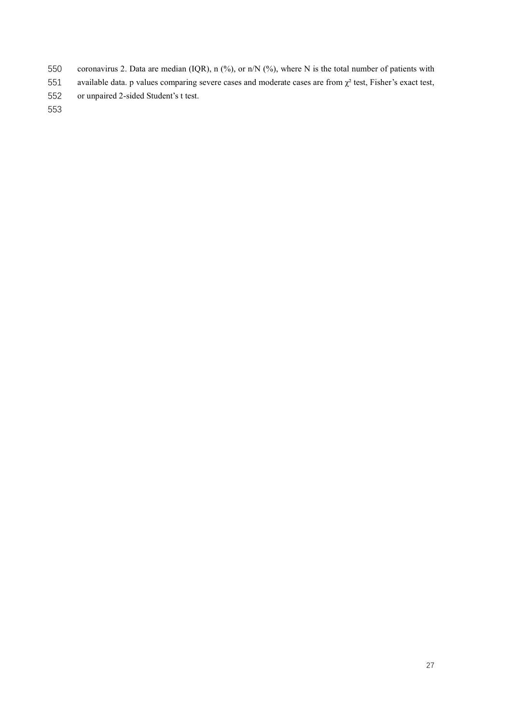- coronavirus 2. Data are median (IQR), n (%), or n/N (%), where N is the total number of patients with
- 551 available data. p values comparing severe cases and moderate cases are from  $\chi^2$  test, Fisher's exact test,
- or unpaired 2-sided Student's t test.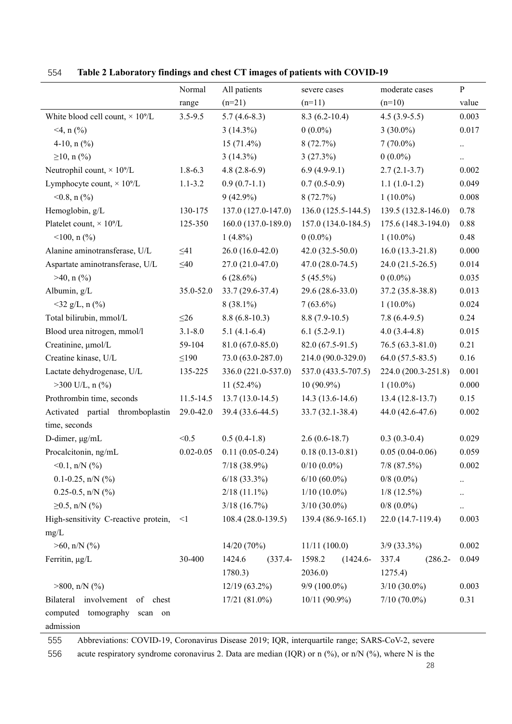|                                                                    | Normal        | All patients         | severe cases          | moderate cases      | $\, {\bf P}$ |
|--------------------------------------------------------------------|---------------|----------------------|-----------------------|---------------------|--------------|
|                                                                    | range         | $(n=21)$             | $(n=11)$              | $(n=10)$            | value        |
| White blood cell count, $\times$ 10 <sup>9</sup> /L<br>$3.5 - 9.5$ |               | $5.7(4.6-8.3)$       | $8.3(6.2-10.4)$       | $4.5(3.9-5.5)$      | 0.003        |
| $<$ 4, n $(\frac{9}{0})$                                           |               | $3(14.3\%)$          | $0(0.0\%)$            | $3(30.0\%)$         | 0.017        |
| 4-10, $n$ (%)                                                      |               | $15(71.4\%)$         | 8(72.7%)              | $7(70.0\%)$         | $\ddotsc$    |
| $\geq 10$ , n (%)                                                  |               | $3(14.3\%)$          | 3(27.3%)              | $0(0.0\%)$          | $\ldots$     |
| Neutrophil count, $\times$ 10 <sup>9</sup> /L                      | $1.8 - 6.3$   | $4.8(2.8-6.9)$       | $6.9(4.9-9.1)$        | $2.7(2.1-3.7)$      | 0.002        |
| Lymphocyte count, $\times$ 10 <sup>9</sup> /L                      | $1.1 - 3.2$   | $0.9(0.7-1.1)$       | $0.7(0.5-0.9)$        | $1.1(1.0-1.2)$      | 0.049        |
| $<$ 0.8, n $\left(\frac{9}{6}\right)$                              |               | $9(42.9\%)$          | 8(72.7%)              | $1(10.0\%)$         | 0.008        |
| Hemoglobin, g/L                                                    | 130-175       | 137.0 (127.0-147.0)  | 136.0 (125.5-144.5)   | 139.5 (132.8-146.0) | 0.78         |
| Platelet count, $\times$ 10 <sup>9</sup> /L                        | 125-350       | 160.0 (137.0-189.0)  | 157.0 (134.0-184.5)   | 175.6 (148.3-194.0) | 0.88         |
| $<$ 100, n $(\frac{9}{6})$                                         |               | $1(4.8\%)$           | $0(0.0\%)$            | $1(10.0\%)$         | 0.48         |
| Alanine aminotransferase, U/L                                      | $\leq 41$     | $26.0(16.0-42.0)$    | $42.0(32.5-50.0)$     | $16.0(13.3-21.8)$   | 0.000        |
| Aspartate aminotransferase, U/L                                    | $\leq 40$     | 27.0 (21.0-47.0)     | $47.0(28.0-74.5)$     | $24.0(21.5-26.5)$   | 0.014        |
| $>40$ , n $(\% )$                                                  |               | $6(28.6\%)$          | $5(45.5\%)$           | $0(0.0\%)$          | 0.035        |
| Albumin, g/L                                                       | 35.0-52.0     | 33.7 (29.6-37.4)     | 29.6 (28.6-33.0)      | $37.2(35.8-38.8)$   | 0.013        |
| $32$ g/L, n $\left(\frac{9}{0}\right)$                             |               | $8(38.1\%)$          | $7(63.6\%)$           | $1(10.0\%)$         | 0.024        |
| Total bilirubin, mmol/L                                            | $\leq$ 26     | $8.8(6.8-10.3)$      | $8.8(7.9-10.5)$       | $7.8(6.4-9.5)$      | 0.24         |
| Blood urea nitrogen, mmol/l                                        | $3.1 - 8.0$   | $5.1(4.1-6.4)$       | $6.1(5.2-9.1)$        | $4.0(3.4-4.8)$      | 0.015        |
| Creatinine, µmol/L                                                 | 59-104        | $81.0(67.0-85.0)$    | 82.0 (67.5-91.5)      | $76.5(63.3-81.0)$   | 0.21         |
| Creatine kinase, U/L                                               | $\leq$ 190    | 73.0 (63.0-287.0)    | 214.0 (90.0-329.0)    | $64.0(57.5-83.5)$   | 0.16         |
| Lactate dehydrogenase, U/L                                         | 135-225       | 336.0 (221.0-537.0)  | 537.0 (433.5-707.5)   | 224.0 (200.3-251.8) | 0.001        |
| $>300$ U/L, n $(\% )$                                              |               | 11 $(52.4\%)$        | $10(90.9\%)$          | $1(10.0\%)$         | 0.000        |
| Prothrombin time, seconds                                          | 11.5-14.5     | $13.7(13.0-14.5)$    | $14.3(13.6-14.6)$     | $13.4(12.8-13.7)$   | 0.15         |
| Activated partial thromboplastin                                   | 29.0-42.0     | 39.4 (33.6-44.5)     | 33.7 (32.1-38.4)      | 44.0 (42.6-47.6)    | 0.002        |
| time, seconds                                                      |               |                      |                       |                     |              |
| D-dimer, µg/mL                                                     | < 0.5         | $0.5(0.4-1.8)$       | $2.6(0.6-18.7)$       | $0.3(0.3-0.4)$      | 0.029        |
| Procalcitonin, ng/mL                                               | $0.02 - 0.05$ | $0.11(0.05-0.24)$    | $0.18(0.13 - 0.81)$   | $0.05(0.04-0.06)$   | 0.059        |
| $\leq 0.1$ , n/N $(\% )$                                           |               | $7/18(38.9\%)$       | $0/10(0.0\%)$         | $7/8$ $(87.5\%)$    | 0.002        |
| $0.1 - 0.25$ , n/N $(\%)$                                          |               | $6/18$ (33.3%)       | $6/10(60.0\%)$        | $0/8$ $(0.0\%)$     |              |
| $0.25 - 0.5$ , n/N $(\%)$                                          |               | $2/18(11.1\%)$       | $1/10(10.0\%)$        | $1/8$ (12.5%)       |              |
| $≥0.5$ , n/N (%)                                                   |               | $3/18$ (16.7%)       | $3/10(30.0\%)$        | $0/8$ (0.0%)        |              |
| High-sensitivity C-reactive protein,<br>$\leq$ 1                   |               | 108.4 (28.0-139.5)   | 139.4 (86.9-165.1)    | 22.0 (14.7-119.4)   | 0.003        |
| mg/L                                                               |               |                      |                       |                     |              |
| $>60$ , n/N (%)                                                    |               | 14/20(70%)           | 11/11(100.0)          | $3/9$ (33.3%)       | 0.002        |
| Ferritin, µg/L                                                     | 30-400        | 1424.6<br>$(337.4 -$ | 1598.2<br>$(1424.6 -$ | $(286.2 -$<br>337.4 | 0.049        |
|                                                                    |               | 1780.3)              | 2036.0                | 1275.4)             |              |
| $>800$ , n/N (%)                                                   |               | $12/19(63.2\%)$      | $9/9(100.0\%)$        | $3/10(30.0\%)$      | 0.003        |
| Bilateral involvement of chest                                     |               | $17/21(81.0\%)$      | $10/11(90.9\%)$       | $7/10(70.0\%)$      | 0.31         |
| computed tomography<br>scan on                                     |               |                      |                       |                     |              |
| admission                                                          |               |                      |                       |                     |              |

554 Table 2 Laboratory findings and chest CT images of patients with COVID-19

 $\overline{\phantom{a}}$ 

555 Abbreviations: COVID-19, Coronavirus Disease 2019; IQR, interquartile range; SARS-CoV-2, severe

556 acute respiratory syndrome coronavirus 2. Data are median (IQR) or n (%), or n/N (%), where N is the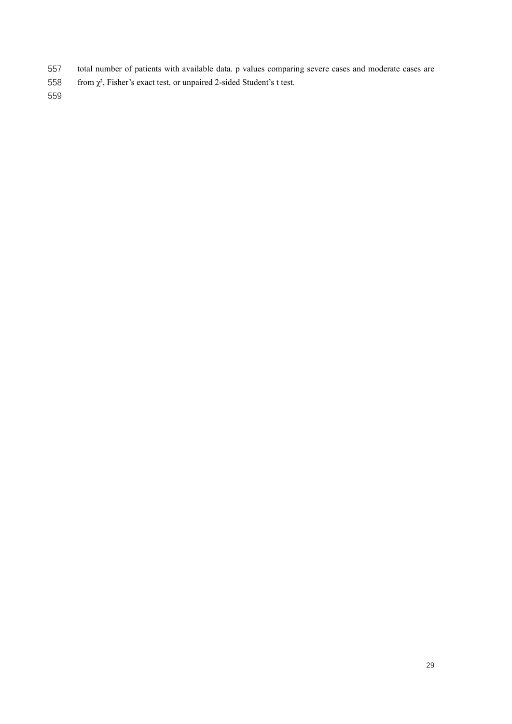- total number of patients with available data. p values comparing severe cases and moderate cases are
- 558 from  $\chi^2$ , Fisher's exact test, or unpaired 2-sided Student's t test.